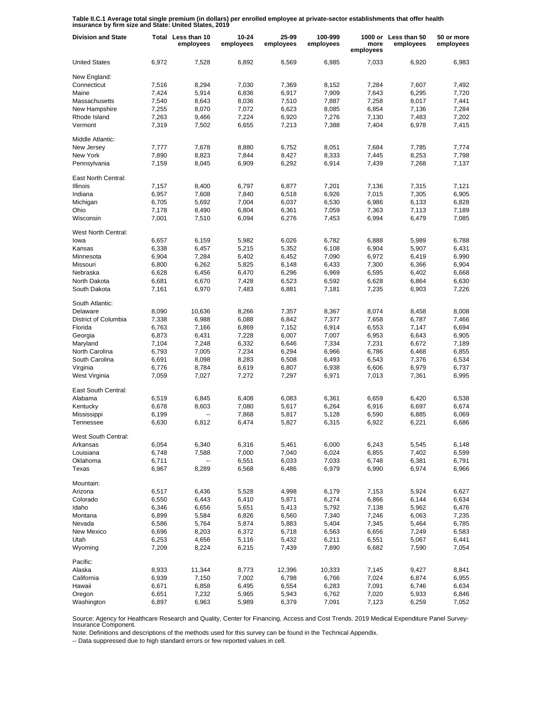**Table II.C.1 Average total single premium (in dollars) per enrolled employee at private-sector establishments that offer health insurance by firm size and State: United States, 2019**

| <b>Division and State</b> |       | Total Less than 10<br>employees | 10-24<br>employees | 25-99<br>employees | 100-999<br>employees | more<br>employees | 1000 or Less than 50<br>employees | 50 or more<br>employees |
|---------------------------|-------|---------------------------------|--------------------|--------------------|----------------------|-------------------|-----------------------------------|-------------------------|
| <b>United States</b>      | 6,972 | 7,528                           | 6,892              | 6,569              | 6,985                | 7,033             | 6,920                             | 6,983                   |
| New England:              |       |                                 |                    |                    |                      |                   |                                   |                         |
| Connecticut               | 7,516 | 8,294                           | 7,030              | 7,369              | 8.152                | 7,284             | 7.607                             | 7.492                   |
| Maine                     | 7,424 | 5,914                           | 6,836              | 6,917              | 7,909                | 7,643             | 6,295                             | 7.720                   |
| Massachusetts             | 7,540 | 8,643                           | 8,036              | 7,510              | 7,887                | 7,258             | 8,017                             | 7,441                   |
| New Hampshire             | 7,255 | 8,070                           | 7,072              | 6,623              | 8,085                | 6,854             | 7,136                             | 7,284                   |
| Rhode Island              | 7,263 | 9,466                           | 7,224              | 6,920              | 7,276                | 7,130             | 7,483                             | 7,202                   |
| Vermont                   | 7,319 | 7,502                           | 6,655              | 7,213              | 7,388                | 7,404             | 6,978                             | 7,415                   |
| Middle Atlantic:          |       |                                 |                    |                    |                      |                   |                                   |                         |
| New Jersey                | 7,777 | 7,678                           | 8,880              | 6,752              | 8,051                | 7,684             | 7,785                             | 7,774                   |
| New York                  | 7,890 | 8,823                           | 7,844              | 8,427              | 8,333                | 7,445             | 8,253                             | 7,798                   |
| Pennsylvania              | 7,159 | 8,045                           | 6,909              | 6,292              | 6,914                | 7,439             | 7,268                             | 7,137                   |
| East North Central:       |       |                                 |                    |                    |                      |                   |                                   |                         |
| <b>Illinois</b>           | 7,157 | 8,400                           | 6,797              | 6,877              | 7,201                | 7,136             | 7,315                             | 7,121                   |
| Indiana                   | 6,957 | 7,608                           | 7,840              | 6,518              | 6,926                | 7,015             | 7,305                             | 6,905                   |
| Michigan                  | 6,705 | 5,692                           | 7,004              | 6,037              | 6,530                | 6,986             | 6,133                             | 6,828                   |
| Ohio                      | 7,178 | 8,490                           | 6,804              | 6,361              | 7,059                | 7,363             | 7,113                             | 7,189                   |
| Wisconsin                 | 7,001 | 7,510                           | 6,094              | 6,276              | 7,453                | 6,994             | 6,479                             | 7,085                   |
| West North Central:       |       |                                 |                    |                    |                      |                   |                                   |                         |
| lowa                      | 6,657 | 6,159                           | 5,982              | 6.026              | 6,782                | 6.888             | 5,989                             | 6,788                   |
| Kansas                    | 6,338 | 6,457                           | 5,215              | 5,352              | 6.108                | 6,904             | 5,907                             | 6,431                   |
| Minnesota                 | 6,904 | 7,284                           | 6,402              | 6,452              | 7,090                | 6,972             | 6,419                             | 6,990                   |
| Missouri                  | 6,800 | 6,262                           | 5,825              | 6,148              | 6,433                | 7,300             | 6,366                             | 6,904                   |
| Nebraska                  | 6,628 | 6,456                           | 6,470              | 6,296              | 6,969                | 6,595             | 6,402                             | 6,668                   |
| North Dakota              | 6,681 | 6.670                           | 7,428              | 6,523              | 6,592                | 6,628             | 6,864                             | 6,630                   |
| South Dakota              | 7,161 | 6,970                           | 7,483              | 6,881              | 7,181                | 7,235             | 6,903                             | 7,226                   |
| South Atlantic:           |       |                                 |                    |                    |                      |                   |                                   |                         |
| Delaware                  | 8,090 | 10,636                          | 8,266              | 7,357              | 8,367                | 8,074             | 8,458                             | 8,008                   |
| District of Columbia      | 7,338 | 6,988                           | 6,088              | 6,842              | 7,377                | 7,658             | 6,787                             | 7,466                   |
| Florida                   | 6,763 | 7,166                           | 6,869              | 7,152              | 6,914                | 6,553             | 7,147                             | 6,694                   |
| Georgia                   | 6,873 | 6,431                           | 7,228              | 6,007              | 7,007                | 6,953             | 6,643                             | 6,905                   |
| Maryland                  | 7,104 | 7,248                           | 6,332              | 6,646              | 7,334                | 7,231             | 6,672                             | 7,189                   |
| North Carolina            | 6,793 | 7,005                           | 7,234              | 6,294              | 6,966                | 6,786             | 6,468                             | 6,855                   |
| South Carolina            | 6,691 | 8,098                           | 8,283              | 6,508              | 6,493                | 6,543             | 7,376                             | 6,534                   |
| Virginia                  | 6,776 | 8,784                           | 6,619              | 6,807              | 6,938                | 6,606             | 6,979                             | 6,737                   |
| West Virginia             | 7,059 | 7,027                           | 7,272              | 7,297              | 6,971                | 7,013             | 7,361                             | 6,995                   |
| East South Central:       |       |                                 |                    |                    |                      |                   |                                   |                         |
| Alabama                   | 6,519 | 6,845                           | 6,408              | 6,083              | 6,361                | 6,659             | 6,420                             | 6,538                   |
| Kentucky                  | 6,678 | 8,603                           | 7,080              | 5,617              | 6,264                | 6,916             | 6,697                             | 6,674                   |
| Mississippi               | 6,199 |                                 | 7,868              | 5,817              | 5,128                | 6,590             | 6,885                             | 6,069                   |
| Tennessee                 | 6,630 | 6,812                           | 6,474              | 5,827              | 6,315                | 6,922             | 6,221                             | 6,686                   |
| West South Central:       |       |                                 |                    |                    |                      |                   |                                   |                         |
| Arkansas                  | 6,054 | 6,340                           | 6,316              | 5,461              | 6,000                | 6,243             | 5,545                             | 6,148                   |
| Louisiana                 | 6,748 | 7,588                           | 7,000              | 7,040              | 6,024                | 6,855             | 7,402                             | 6,599                   |
| Oklahoma                  | 6,711 | ۰.                              | 6,551              | 6,033              | 7,033                | 6,748             | 6,381                             | 6,791                   |
| Texas                     | 6,967 | 8,289                           | 6,568              | 6,486              | 6,979                | 6,990             | 6,974                             | 6,966                   |
| Mountain:                 |       |                                 |                    |                    |                      |                   |                                   |                         |
| Arizona                   | 6,517 | 6,436                           | 5,528              | 4,998              | 6,179                | 7,153             | 5,924                             | 6,627                   |
| Colorado                  | 6,550 | 6,443                           | 6,410              | 5,871              | 6,274                | 6,866             | 6,144                             | 6,634                   |
| Idaho                     | 6,346 | 6,656                           | 5,651              | 5,413              | 5,792                | 7,138             | 5,962                             | 6,476                   |
| Montana                   | 6,899 | 5,584                           | 6,826              | 6,560              | 7,340                | 7,246             | 6,063                             | 7,235                   |
| Nevada                    | 6,586 | 5,764                           | 5,874              | 5,883              | 5,404                | 7,345             | 5,464                             | 6,785                   |
| New Mexico                | 6,696 | 8,203                           | 6,372              | 6,718              | 6,563                | 6,656             | 7,249                             | 6,583                   |
| Utah                      | 6,253 | 4,656                           | 5,116              | 5,432              | 6,211                | 6,551             | 5,067                             | 6,441                   |
| Wyoming                   | 7,209 | 8,224                           | 6,215              | 7,439              | 7,890                | 6,682             | 7,590                             | 7,054                   |
| Pacific:                  |       |                                 |                    |                    |                      |                   |                                   |                         |
| Alaska                    | 8,933 | 11,344                          | 8,773              | 12,396             | 10,333               | 7,145             | 9,427                             | 8,841                   |
| California                | 6,939 | 7,150                           | 7,002              | 6,798              | 6,766                | 7,024             | 6,874                             | 6,955                   |
| Hawaii                    | 6,671 | 6,858                           | 6,495              | 6,554              | 6,283                | 7,091             | 6,746                             | 6,634                   |
| Oregon                    | 6,651 | 7,232                           | 5,965              | 5,943              | 6,762                | 7,020             | 5,933                             | 6,846                   |
| Washington                | 6,897 | 6,963                           | 5,989              | 6,379              | 7,091                | 7,123             | 6,259                             | 7,052                   |

Source: Agency for Healthcare Research and Quality, Center for Financing, Access and Cost Trends. 2019 Medical Expenditure Panel Survey-Insurance Component.

Note: Definitions and descriptions of the methods used for this survey can be found in the Technical Appendix.

-- Data suppressed due to high standard errors or few reported values in cell.